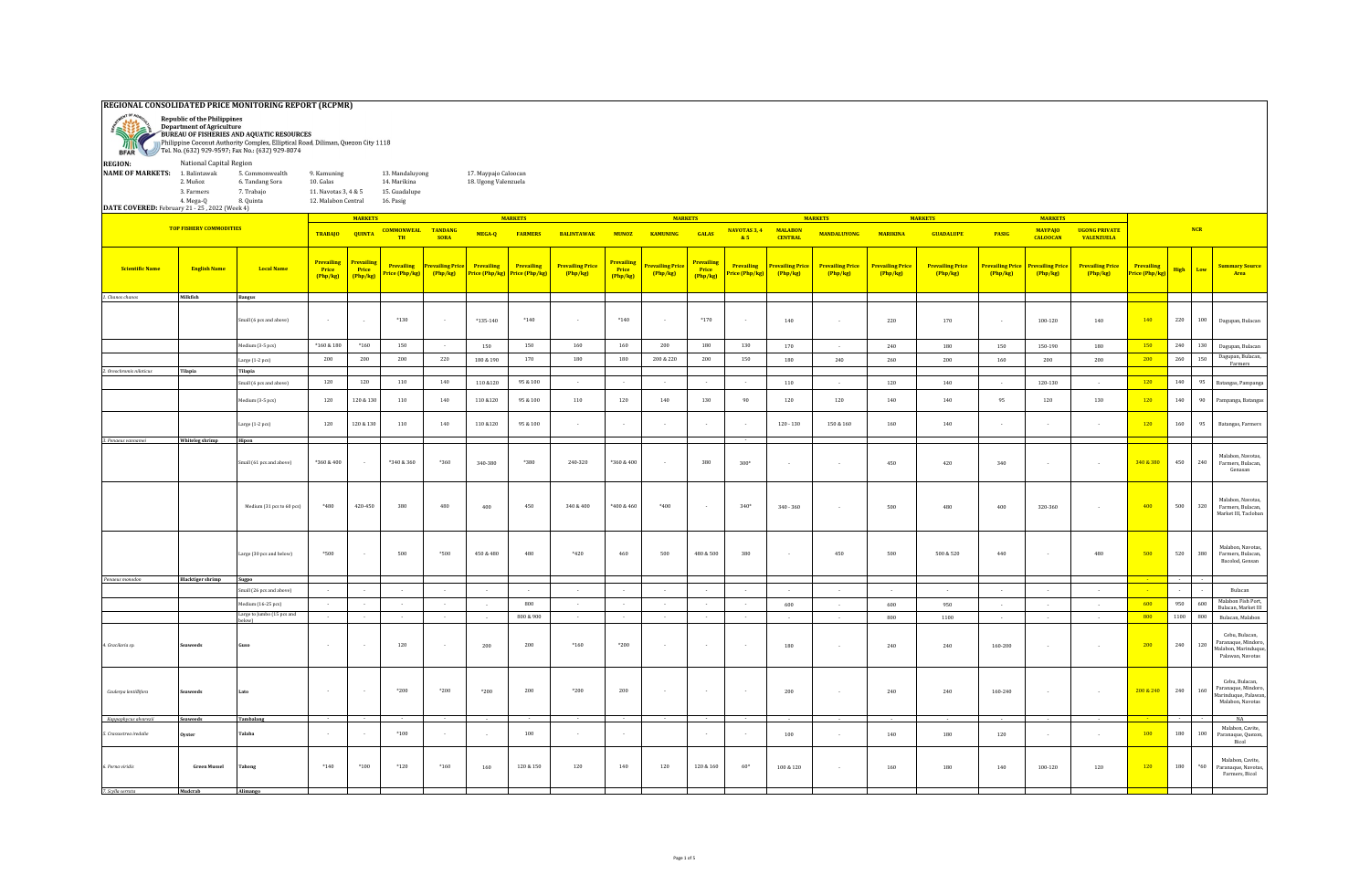| REGIONAL CONSOLIDATED PRICE MONITORING REPORT (RCPMR)<br><b>Republic of the Philippines</b> |                                                                                                                                                                                                                                                                                                                                                                                                            |                                 |                                        |                                        |                                    |                            |                              |                                     |                                     |                                        |                                          |                                      |                                    |                                        |                                   |                              |                                   |                            |                                   |                                           |                                    |         |        |                                                                                   |
|---------------------------------------------------------------------------------------------|------------------------------------------------------------------------------------------------------------------------------------------------------------------------------------------------------------------------------------------------------------------------------------------------------------------------------------------------------------------------------------------------------------|---------------------------------|----------------------------------------|----------------------------------------|------------------------------------|----------------------------|------------------------------|-------------------------------------|-------------------------------------|----------------------------------------|------------------------------------------|--------------------------------------|------------------------------------|----------------------------------------|-----------------------------------|------------------------------|-----------------------------------|----------------------------|-----------------------------------|-------------------------------------------|------------------------------------|---------|--------|-----------------------------------------------------------------------------------|
| 家游<br>min                                                                                   | <b>Department of Agriculture</b><br>BUREAU OF FISHERIES AND AQUATIC RESOURCES<br>Philippine Coconut Authority Complex, Elliptical Road, Diliman, Quezon City 1118<br>Tel. No. (632) 929-9597; Fax No.: (632) 929-8074<br><b>BFAR</b><br>National Capital Region<br><b>REGION:</b><br><b>NAME OF MARKETS:</b><br>1. Balintawak<br>13. Mandaluyong<br>17. Maypajo Caloocan<br>9. Kamuning<br>5. Commonwealth |                                 |                                        |                                        |                                    |                            |                              |                                     |                                     |                                        |                                          |                                      |                                    |                                        |                                   |                              |                                   |                            |                                   |                                           |                                    |         |        |                                                                                   |
|                                                                                             |                                                                                                                                                                                                                                                                                                                                                                                                            |                                 |                                        |                                        |                                    |                            |                              |                                     |                                     |                                        |                                          |                                      |                                    |                                        |                                   |                              |                                   |                            |                                   |                                           |                                    |         |        |                                                                                   |
|                                                                                             |                                                                                                                                                                                                                                                                                                                                                                                                            |                                 |                                        |                                        |                                    |                            |                              |                                     |                                     |                                        |                                          |                                      |                                    |                                        |                                   |                              |                                   |                            |                                   |                                           |                                    |         |        |                                                                                   |
|                                                                                             | 2. Muñoz                                                                                                                                                                                                                                                                                                                                                                                                   | 6. Tandang Sora                 | 10. Galas                              |                                        | 14. Marikina                       |                            | 18. Ugong Valenzuela         |                                     |                                     |                                        |                                          |                                      |                                    |                                        |                                   |                              |                                   |                            |                                   |                                           |                                    |         |        |                                                                                   |
|                                                                                             | 3. Farmers                                                                                                                                                                                                                                                                                                                                                                                                 | 7. Trabajo                      | 11. Navotas 3, 4 & 5                   |                                        | 15. Guadalupe                      |                            |                              |                                     |                                     |                                        |                                          |                                      |                                    |                                        |                                   |                              |                                   |                            |                                   |                                           |                                    |         |        |                                                                                   |
|                                                                                             | 4. Mega-Q                                                                                                                                                                                                                                                                                                                                                                                                  | 8. Quinta                       | 12. Malabon Central                    |                                        | 16. Pasig                          |                            |                              |                                     |                                     |                                        |                                          |                                      |                                    |                                        |                                   |                              |                                   |                            |                                   |                                           |                                    |         |        |                                                                                   |
| DATE COVERED: February 21 - 25, 2022 (Week 4)                                               |                                                                                                                                                                                                                                                                                                                                                                                                            |                                 |                                        |                                        |                                    |                            |                              |                                     |                                     |                                        |                                          |                                      |                                    |                                        |                                   |                              |                                   |                            |                                   |                                           |                                    |         |        |                                                                                   |
|                                                                                             |                                                                                                                                                                                                                                                                                                                                                                                                            |                                 |                                        | <b>MARKETS</b>                         |                                    |                            |                              | <b>MARKETS</b>                      |                                     |                                        | <b>MARKETS</b>                           |                                      |                                    |                                        | <b>MARKETS</b>                    |                              | <b>MARKETS</b>                    |                            | <b>MARKETS</b>                    |                                           |                                    |         |        |                                                                                   |
|                                                                                             | <b>TOP FISHERY COMMODITIES</b>                                                                                                                                                                                                                                                                                                                                                                             |                                 | <b>TRABAJO</b>                         | <b>QUINTA</b>                          | <b>COMMONWEAL TANDANG</b><br>TH    | <b>SORA</b>                | MEGA-Q                       | <b>FARMERS</b>                      | <b>BALINTAWAK</b>                   | <b>MUNOZ</b>                           | <b>KAMUNING</b>                          | <b>GALAS</b>                         | NAVOTAS 3, 4<br>85                 | <b>MALABON</b><br><b>CENTRAL</b>       | <b>MANDALUYONG</b>                | <b>MARIKINA</b>              | <b>GUADALUPE</b>                  | <b>PASIG</b>               | <b>MAYPAJO</b><br><b>CALOOCAN</b> | <b>UGONG PRIVATE</b><br><b>VALENZUELA</b> |                                    |         | NCR    |                                                                                   |
| Scientific Name                                                                             | <b>English Name</b>                                                                                                                                                                                                                                                                                                                                                                                        | <b>Local Name</b>               | <b>Prevailing</b><br>Price<br>(Php/kg) | <b>Prevailing</b><br>Price<br>(Php/kg) | <b>Prevailing</b><br>rice (Php/kg) | Prevailing Price<br>Php/kg | Prevailing<br>Price (Php/kg) | <b>Prevailing</b><br>Price (Php/kg) | <b>Prevailing Price</b><br>(Php/kg) | <b>Prevailing</b><br>Price<br>[Php/kg] | <mark>revailing Price</mark><br>[Php/kg] | <b>Prevailing</b><br>Price<br>Php/kg | <b>Prevailing</b><br>rice (Php/kg) | <mark>revailing Price</mark><br>Php/kg | <b>Prevailing Price</b><br>Php/kg | Prevailing Price<br>[Php/kg] | <b>Prevailing Price</b><br>Php/kg | Prevailing Price<br>Php/kg | Prevailing Price<br>(Php/kg)      | <b>Prevailing Price</b><br>(Php/kg)       | <b>Prevailing</b><br>rice (Php/kg) | High    | Low    | <b>Summary Source</b><br>Area                                                     |
| 1. Chanos chanos                                                                            | Milkfish                                                                                                                                                                                                                                                                                                                                                                                                   | <b>Bangus</b>                   |                                        |                                        |                                    |                            |                              |                                     |                                     |                                        |                                          |                                      |                                    |                                        |                                   |                              |                                   |                            |                                   |                                           |                                    |         |        |                                                                                   |
|                                                                                             |                                                                                                                                                                                                                                                                                                                                                                                                            |                                 |                                        |                                        |                                    |                            |                              |                                     |                                     |                                        |                                          |                                      |                                    |                                        |                                   |                              |                                   |                            |                                   |                                           |                                    |         |        |                                                                                   |
|                                                                                             |                                                                                                                                                                                                                                                                                                                                                                                                            | Small (6 pcs and above)         | $\sim$ 10 $\sim$                       | $\sim$                                 | $*130$                             | $\sim$                     | $*135-140$                   | $*140$                              | $\sim$                              | $*140$                                 | $\sim$                                   | $*170$                               | $\sim$                             | 140                                    | $\sim$                            | 220                          | 170                               |                            | 100-120                           | 140                                       | 140                                | 220     | 100    | Dagupan, Bulacan                                                                  |
|                                                                                             |                                                                                                                                                                                                                                                                                                                                                                                                            |                                 | $^*160\ \&\ 180$                       | $*160$                                 | 150                                | $\sim 10^{-1}$             | 150                          | 150                                 | 160                                 | 160                                    | 200                                      | 180                                  | 130                                | 170                                    | $\sim$                            | 240                          | 180                               | 150                        | 150-190                           | 180                                       | 150                                | 240     | 130    |                                                                                   |
|                                                                                             |                                                                                                                                                                                                                                                                                                                                                                                                            | Medium (3-5 pcs)                |                                        |                                        |                                    |                            |                              |                                     |                                     |                                        |                                          |                                      |                                    |                                        |                                   |                              |                                   |                            |                                   |                                           |                                    |         |        | Dagupan, Bulacan<br>Dagupan, Bulacan,                                             |
|                                                                                             |                                                                                                                                                                                                                                                                                                                                                                                                            | Large (1-2 pcs)                 | 200                                    | 200                                    | 200                                | 220                        | 180 & 190                    | 170                                 | 180                                 | 180                                    | 200 & 220                                | 200                                  | 150                                | 180                                    | 240                               | 260                          | 200                               | 160                        | 200                               | 200                                       | 200                                | 260     | 150    | Farmers                                                                           |
| 2. Oreochromis niloticus                                                                    | Tilapia                                                                                                                                                                                                                                                                                                                                                                                                    | Tilapia                         |                                        |                                        |                                    |                            |                              |                                     |                                     |                                        |                                          |                                      |                                    |                                        |                                   |                              |                                   |                            |                                   |                                           |                                    |         |        |                                                                                   |
|                                                                                             |                                                                                                                                                                                                                                                                                                                                                                                                            | Small (6 pcs and above)         | 120                                    | 120                                    | 110                                | 140                        | 110 & 120                    | 95 & 100                            | $\sim$                              | $\sim$                                 | $\sim$                                   | $\sim$                               | $\sim$                             | 110                                    | $\sim$                            | 120                          | 140                               | $\sim$                     | 120-130                           | $\sim$                                    | 120                                | 140     | 95     | Batangas, Pampanga                                                                |
|                                                                                             |                                                                                                                                                                                                                                                                                                                                                                                                            | $f$ edium $(3-5$ pcs $)$        | 120                                    | $120\text{ \& }130$                    | 110                                | 140                        | 110 & 120                    | 95 & 100                            | 110                                 | 120                                    | 140                                      | 130                                  | 90                                 | 120                                    | 120                               | 140                          | 140                               | 95                         | 120                               | 130                                       | 120                                | 140     | 90     | Pampanga, Batangas                                                                |
|                                                                                             |                                                                                                                                                                                                                                                                                                                                                                                                            | Large (1-2 pcs)                 | 120                                    | 120 & 130                              | 110                                | 140                        | 110 & 120                    | 95 & 100                            |                                     |                                        |                                          |                                      |                                    | $120 - 130$                            | $150\text{ }\&\text{ }160$        | 160                          | 140                               |                            |                                   |                                           | 120                                | 160     | 95     | Batangas, Farmers                                                                 |
| 3. Penaeus vannamei                                                                         | Whiteleg shrimp                                                                                                                                                                                                                                                                                                                                                                                            | Hipon                           |                                        |                                        |                                    |                            |                              |                                     |                                     |                                        |                                          |                                      |                                    |                                        |                                   |                              |                                   |                            |                                   |                                           |                                    |         |        |                                                                                   |
|                                                                                             |                                                                                                                                                                                                                                                                                                                                                                                                            | Small (61 pcs and above)        | *360 & 400                             |                                        | *340 & 360                         | *360                       | 340-380                      | *380                                | 240-320                             | *360 & 400                             |                                          | 380                                  | $300*$                             | $\sim$                                 | $\sim$                            | 450                          | 420                               | 340                        |                                   | $\sim$ $\sim$                             | 340 & 380                          | 450     | 240    | Malabon, Navotas,<br>Farmers, Bulacan,<br>Genasan                                 |
|                                                                                             |                                                                                                                                                                                                                                                                                                                                                                                                            | Medium (31 pcs to 60 pcs)       | *480                                   | 420-450                                | 380                                | 480                        | 400                          | 450                                 | $340\,\&\,400$                      | *400 & 460                             | *400                                     |                                      | $340*$                             | $340 - 360$                            |                                   | 500                          | 480                               | 400                        | 320-360                           |                                           | 400                                | 500     | 320    | Malabon, Navotas,<br>Farmers, Bulacan,<br>Market III, Tacloban                    |
|                                                                                             |                                                                                                                                                                                                                                                                                                                                                                                                            | Large (30 pcs and below)        | $*500$                                 |                                        | 500                                | $*500$                     | 450 & 480                    | 480                                 | $*420$                              | 460                                    | 500                                      | 480 & 500                            | 380                                | $\sim$                                 | 450                               | 500                          | 500 & 520                         | 440                        |                                   | 480                                       | 500                                | 520     | 380    | Malabon, Navotas<br>Farmers, Bulacan.<br>Bacolod, Gensan                          |
| Penaeus monodon                                                                             | <b>Blacktiger shrimp</b>                                                                                                                                                                                                                                                                                                                                                                                   | Sugpo                           | $\sim$                                 | $\sim$                                 | $\sim$                             | $\sim$                     |                              |                                     | $\sim$                              |                                        | $\sim$                                   |                                      | $\sim$                             |                                        |                                   |                              |                                   |                            |                                   |                                           |                                    | $\sim$  |        |                                                                                   |
|                                                                                             |                                                                                                                                                                                                                                                                                                                                                                                                            | mall (26 pcs and above)         |                                        |                                        |                                    |                            |                              |                                     |                                     |                                        |                                          | $\sim$                               |                                    | $\sim$                                 |                                   |                              |                                   |                            |                                   |                                           |                                    |         |        | Bulacan                                                                           |
|                                                                                             |                                                                                                                                                                                                                                                                                                                                                                                                            | $f$ edium $(16-25 \text{ pcs})$ | $\sim$                                 |                                        | $\sim$                             | $\sim$                     |                              | 800                                 |                                     |                                        |                                          | $\sim$                               | $\cdot$                            | 600                                    |                                   | 600                          | 950                               |                            |                                   |                                           | 600                                | 950     | 600    | Malabon Fish Port,<br>Bulacan, Market III                                         |
|                                                                                             |                                                                                                                                                                                                                                                                                                                                                                                                            | Large to Jumbo (15 pcs and      | $\sim$                                 | $\sim$                                 | $\sim 10$                          | $\sim$                     |                              | 800 & 900                           | $\sim$                              | u.                                     | $\sim$                                   | $\sim$                               | $\sim$                             |                                        |                                   | 800                          | 1100                              |                            |                                   |                                           | 800                                | 1100    | 800    | Bulacan, Malabon                                                                  |
| 4. Gracilaria sp.                                                                           | weed                                                                                                                                                                                                                                                                                                                                                                                                       |                                 | $\sim$                                 |                                        | 120                                | $\sim$                     | 200                          | 200                                 | $*160$                              | $*200$                                 | $\sim$                                   | $\sim$                               | $\sim$                             | 180                                    | $\sim$                            | 240                          | 240                               | 160-200                    |                                   | $\sim$                                    | 200                                | 240     | 120    | Cebu, Bulacan,<br>Paranaque, Mindoro<br>Malabon, Marinduque,<br>Palawan, Navotas  |
| Caulerpa lentillifera                                                                       | weed:                                                                                                                                                                                                                                                                                                                                                                                                      |                                 | $\sim$                                 |                                        | $*200$                             | $*200$                     | $*200$                       | 200                                 | $*200$                              | 200                                    |                                          |                                      | $\sim$                             | 200                                    | $\sim$                            | 240                          | 240                               | 160-240                    |                                   | $\sim$                                    | 200 & 240                          | 240     | 160    | Cebu, Bulacan,<br>Paranaque, Mindoro,<br>Marinduque, Palawan,<br>Malabon, Navotas |
| Kappaphycus alvarezii                                                                       | Seaweeds                                                                                                                                                                                                                                                                                                                                                                                                   | Tambalang                       |                                        |                                        |                                    |                            |                              |                                     |                                     |                                        |                                          |                                      |                                    |                                        |                                   |                              |                                   |                            |                                   |                                           |                                    |         |        | <b>NA</b>                                                                         |
| 5. Crassostrea iredalie                                                                     | yster                                                                                                                                                                                                                                                                                                                                                                                                      | Talaba                          | $\sim$                                 |                                        | $*100$                             |                            |                              | 100                                 |                                     |                                        |                                          |                                      |                                    | 100                                    |                                   | 140                          | 180                               | 120                        |                                   |                                           | 100                                | 180     | 100    | Malabon, Cavite.<br>Paranaque, Quezon,<br>Bicol                                   |
| .<br>Perna viridis                                                                          | <b>Green Mussel</b>                                                                                                                                                                                                                                                                                                                                                                                        |                                 | $*140$                                 | $*100$                                 | $*120$                             | $*160$                     | 160                          | $120\,\&\,150$                      | 120                                 | 140                                    | 120                                      | 120 & 160                            | $60*$                              | 100 & 120                              | $\sim$                            | 160                          | 180                               | 140                        | 100-120                           | 120                                       | 120                                | $180\,$ | $^*60$ | Malabon, Cavite,<br>Paranaque, Navotas,<br>Farmers, Bicol                         |
| 7. Scylla serrata                                                                           | Muderab                                                                                                                                                                                                                                                                                                                                                                                                    | Alimanoo                        |                                        |                                        |                                    |                            |                              |                                     |                                     |                                        |                                          |                                      |                                    |                                        |                                   |                              |                                   |                            |                                   |                                           |                                    |         |        |                                                                                   |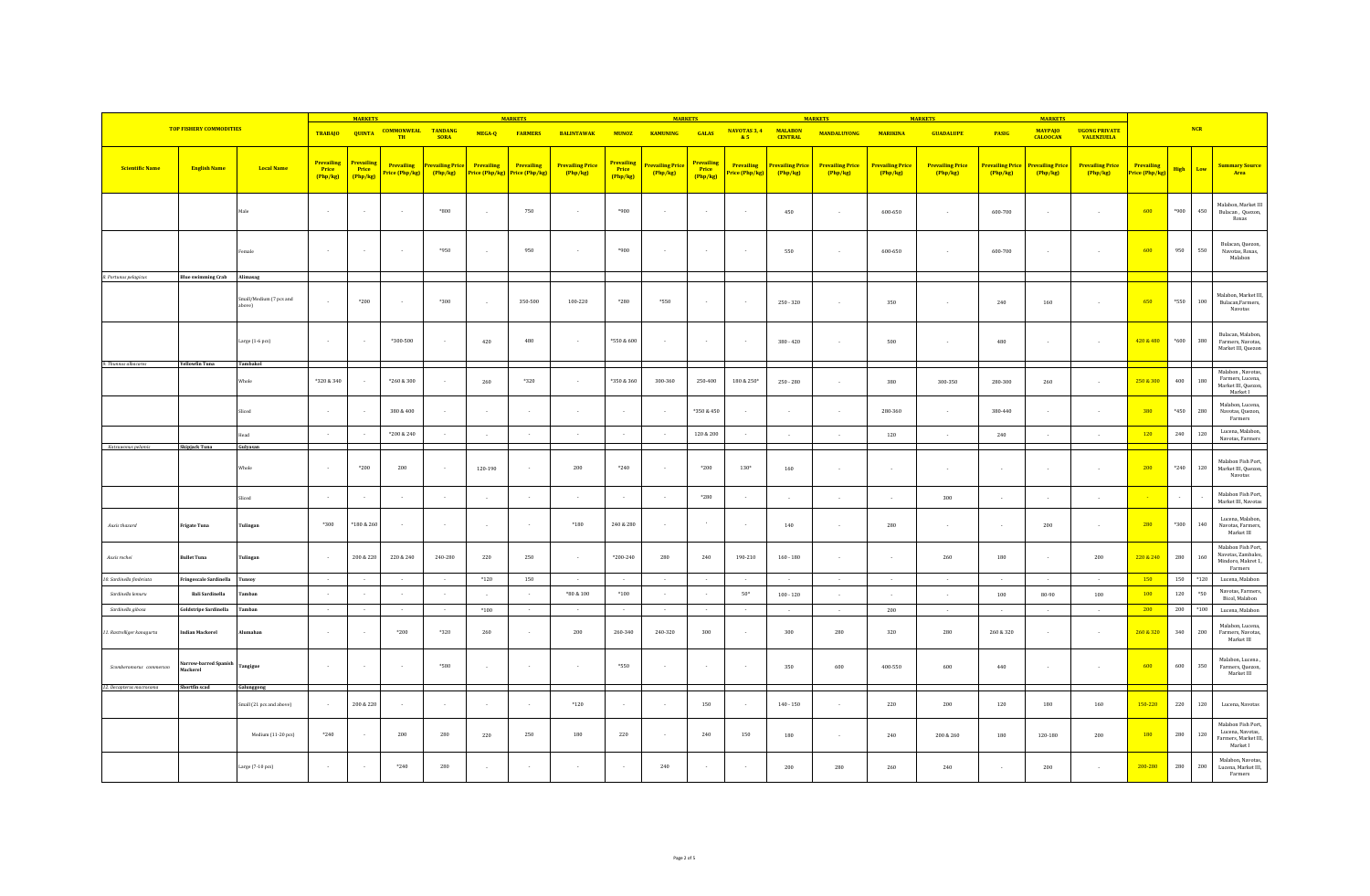|                            |                                   |                                   |                                        | <b>MARKETS</b>                         |                                        |                                     | <b>MARKETS</b>               |                              |                                     |                                 | <b>MARKETS</b>                    |                                        |                              |                                   | <b>MARKETS</b>                    |                                   |                                     |                                   | <b>MARKETS</b><br><b>MARKETS</b>    |                                           |                                     |          |         |                                                                                              |  |  |  |
|----------------------------|-----------------------------------|-----------------------------------|----------------------------------------|----------------------------------------|----------------------------------------|-------------------------------------|------------------------------|------------------------------|-------------------------------------|---------------------------------|-----------------------------------|----------------------------------------|------------------------------|-----------------------------------|-----------------------------------|-----------------------------------|-------------------------------------|-----------------------------------|-------------------------------------|-------------------------------------------|-------------------------------------|----------|---------|----------------------------------------------------------------------------------------------|--|--|--|
|                            | <b>TOP FISHERY COMMODITIES</b>    |                                   |                                        | TRABAJO QUINTA                         | <b>COMMONWEAL TANDANG</b><br><b>TH</b> | <b>SORA</b>                         | MEGA-Q                       | <b>FARMERS</b>               | <b>BALINTAWAK</b>                   | <b>MUNOZ</b>                    | <b>KAMUNING</b>                   | <b>GALAS</b>                           | NAVOTAS 3, 4<br>85           | <b>MALABON</b><br><b>CENTRAL</b>  | <b>MANDALUYONG</b>                | <b>MARIKINA</b>                   | <b>GUADALUPE</b>                    | <b>PASIG</b>                      | <b>MAYPAJO</b><br><b>CALOOCAN</b>   | <b>UGONG PRIVATE</b><br><b>VALENZUELA</b> |                                     |          | NCR     |                                                                                              |  |  |  |
| Scientific Name            | <b>English Name</b>               | <b>Local Name</b>                 | <b>Prevailing</b><br>Price<br>(Php/kg) | <b>Prevailing</b><br>Price<br>(Php/kg) | <b>Prevailing</b><br>Price (Php/kg)    | <b>Prevailing Price</b><br>(Php/kg) | Prevailing<br>Price (Php/kg) | Prevailing<br>Price (Php/kg) | <b>Prevailing Price</b><br>(Php/kg) | Prevailing<br>Price<br>(Php/kg) | <b>Prevailing Price</b><br>Php/kg | <b>Prevailing</b><br>Price<br>(Php/kg) | Prevailing<br>Price (Php/kg) | <b>Prevailing Price</b><br>Php/kg | <b>Prevailing Price</b><br>Php/kg | <b>Prevailing Price</b><br>Php/kg | <b>Prevailing Price</b><br>(Php/kg) | <b>Prevailing Price</b><br>Php/kg | <b>Prevailing Price</b><br>(Php/kg) | <b>Prevailing Price</b><br>(Php/kg)       | <b>Prevailing</b><br>Price (Php/kg) | High Low |         | <b>Summary Source</b><br>Area                                                                |  |  |  |
|                            |                                   | Male                              | $\sim$                                 |                                        | $\sim$                                 | $*800$                              |                              | 750                          | $\sim$                              | $*900$                          | $\sim$                            |                                        | $\sim$                       | 450                               | $\sim$                            | 600-650                           | $\sim$                              | $600 - 700$                       |                                     | $\sim$                                    | 600                                 | $*900$   | 450     | Malabon, Market III<br>Bulacan, Quezon,<br>Roxas                                             |  |  |  |
|                            |                                   | emale                             | $\sim$                                 | $\sim$                                 | $\sim$                                 | $*950$                              |                              | 950                          | $\overline{\phantom{a}}$            | $*900$                          | $\sim$                            | $\sim$                                 | $\sim$                       | 550                               | $\sim$                            | 600-650                           | $\sim$ $\sim$                       | 600-700                           |                                     | $\sim$                                    | 600                                 | 950      | 550     | Bulacan, Quezon<br>Navotas, Roxas,<br>Malabon                                                |  |  |  |
| 8. Portunus pelagicus      | <b>Blue swimming Crab</b>         | Alimasag                          |                                        |                                        |                                        |                                     |                              |                              |                                     |                                 |                                   |                                        |                              |                                   |                                   |                                   |                                     |                                   |                                     |                                           |                                     |          |         |                                                                                              |  |  |  |
|                            |                                   | imall/Medium (7 pcs and<br>above) | $\sim$                                 | $*200$                                 |                                        | $*300$                              | $\sim$                       | 350-500                      | 100-220                             | $*280$                          | $*550$                            |                                        | $\sim$                       | $250 - 320$                       | $\sim$                            | 350                               | $\sim$ $\sim$                       | 240                               | 160                                 | $\sim$                                    | 650                                 | $*550$   | $100\,$ | Malabon, Market III<br>Bulacan, Farmers,<br>Navotas                                          |  |  |  |
|                            |                                   | Large (1-6 pcs)                   | $\sim$                                 |                                        | $*300 - 500$                           | $\sim$                              | 420                          | 480                          |                                     | *550 & 600                      | $\sim$                            |                                        | $\sim$                       | $380 - 420$                       |                                   | 500                               |                                     | 480                               |                                     |                                           | 420 & 480                           | $*600$   | 380     | Bulacan, Malabon,<br>Farmers, Navotas,<br>Market III, Quezon                                 |  |  |  |
| 9. Thunnus albacares       | <b>Yellowfin Tuna</b>             | Tambakol                          |                                        |                                        |                                        |                                     |                              |                              |                                     |                                 |                                   |                                        |                              |                                   |                                   |                                   |                                     |                                   |                                     |                                           |                                     |          |         |                                                                                              |  |  |  |
|                            |                                   | Whole                             | *320 & 340                             |                                        | $*260 & 300$                           |                                     | 260                          | $*320$                       |                                     | *350 & 360                      | 300-360                           | 250-400                                | 180 & 250*                   | $250 - 280$                       |                                   | 380                               | 300-350                             | 280-300                           | 260                                 | $\sim$                                    | 250 & 300                           | 400      | 180     | Malabon, Navotas,<br>Farmers, Lucena,<br>Market III, Quezon,<br>Market I                     |  |  |  |
|                            |                                   | Sliced                            | $\sim$                                 |                                        | 380 & 400                              | $\sim$                              |                              | $\sim$                       | $\sim$                              |                                 | $\sim$                            | *350 & 450                             | $\sim$                       | $\sim$                            | $\sim$                            | 280-360                           | $\sim$                              | 380-440                           | $\sim$                              | $\sim$                                    | 380                                 | *450     | 280     | Malabon, Lucena,<br>Navotas, Quezon,<br>Farmers                                              |  |  |  |
|                            |                                   | fead                              | $\sim$                                 |                                        | *200 & 240                             | $\sim$                              |                              | $\sim$                       | $\sim$                              |                                 | $\sim 10^{-1}$                    | 120 & 200                              | $\sim$                       | $\sim$                            | $\sim$                            | 120                               | $\sim$                              | 240                               | $\sim$                              | $\sim$                                    | 120                                 | 240      | 120     | Lucena, Malabon,<br>Navotas, Farmers                                                         |  |  |  |
| Katsuwonus pelamis         | Skipjack Tuna                     | Gulyasan                          |                                        |                                        |                                        |                                     |                              |                              |                                     |                                 |                                   |                                        |                              |                                   |                                   |                                   |                                     |                                   |                                     |                                           |                                     |          |         |                                                                                              |  |  |  |
|                            |                                   | Whole                             | $\sim$                                 | $*200$                                 | 200                                    | $\sim$                              | 120-190                      | $\sim$                       | 200                                 | $*240$                          | $\sim$                            | $*200$                                 | $130*$                       | 160                               |                                   |                                   |                                     |                                   |                                     | $\sim$                                    | 200                                 | $*240$   | 120     | Malabon Fish Port,<br>Market III, Quezon,<br>Navotas                                         |  |  |  |
|                            |                                   | Sliced                            |                                        |                                        |                                        |                                     |                              |                              |                                     |                                 |                                   | $*280$                                 |                              |                                   |                                   |                                   | 300                                 |                                   |                                     |                                           |                                     | $\sim$   |         | Malabon Fish Port,<br>Market III, Navotas                                                    |  |  |  |
| Auxis thazard              | <b>Frigate Tuna</b>               | Tulingan                          | *300                                   | *180 & 260                             |                                        | $\sim$                              |                              | $\sim$                       | $*180$                              | 240 & 280                       | $\sim$                            |                                        |                              | 140                               | $\sim$                            | 280                               | $\sim$                              | $\sim$                            | 200                                 | $\sim$                                    | 280                                 | $*300$   | 140     | Lucena, Malabon,<br>Navotas, Farmers,<br>$\operatorname{\mathsf{Market}} \operatorname{III}$ |  |  |  |
| Auxis rochei               | <b>Bullet Tuna</b>                | Tulingan                          | $\sim$                                 | 200 & 220                              | 220 & 240                              | 240-280                             | 220                          | 250                          | $\sim$                              | *200-240                        | 280                               | 240                                    | 190-210                      | $160 - 180$                       |                                   |                                   | $260\,$                             | 180                               | $\sim$                              | 200                                       | 220 & 240                           | 280      | 160     | Malabon Fish Port,<br>Navotas, Zambales,<br>Mindoro, Makret 1,<br>Farmers                    |  |  |  |
| 10. Sardinella fimbriata   | Fringescale Sardinella            | Tunsoy                            | $\sim$                                 | $\sim$                                 | $\sim$                                 | $\sim$                              | $*120$                       | 150                          | $\sim$                              |                                 | $\sim$                            | $\sim$                                 | $\sim$                       | $\sim$                            | $\sim$                            | $\sim$                            | $\sim$                              | $\sim$                            | $\sim$                              | $\sim$                                    | 150                                 | 150      | $*120$  | Lucena, Malabon                                                                              |  |  |  |
| Sardinella lemuru          | <b>Bali Sardinella</b>            | amban                             | $\sim$                                 |                                        |                                        | $\sim$                              |                              |                              | $*80 & 100$                         | $*100$                          | $\sim$                            |                                        | $50*$                        | $100 - 120$                       | in 1919.                          | $\sim$                            | $\sim$                              | 100                               | 80-90                               | 100                                       | 100                                 | 120      | $^*50$  | Navotas, Farmers,<br>Bicol, Malabon                                                          |  |  |  |
| Sardinella gibosa          | Goldstripe Sardinella             | <b>Tamban</b>                     | $\sim$                                 |                                        | $\sim$                                 | $\sim$                              | $*100$                       | $\sim$                       | $\sim$                              |                                 | $\sim$                            | $\sim$                                 | $\sim$                       | $\sim$                            | $\sim$                            | 200                               | $\sim$                              | $\sim$                            | $\sim$                              | $\sim$                                    | 200                                 | 200      | $*100$  | Lucena, Malabon                                                                              |  |  |  |
| 11. Rastrelliger kanagurta | <b>Indian Mackerel</b>            | Alumahan                          | $\sim$                                 |                                        | $*200$                                 | $*320$                              | 260                          |                              | 200                                 | 260-340                         | 240-320                           | 300                                    |                              | 300                               | 280                               | 320                               | 280                                 | 260 & 320                         | $\sim$                              | $\sim$                                    | 260 & 320                           | 340      | 200     | Malabon, Lucena,<br>Farmers, Navotas,<br>Market III                                          |  |  |  |
| Scomberomorus commersor    | Narrow-barred Spanish<br>Mackerel | <b>Tangigue</b>                   | $\sim$                                 |                                        | $\sim$                                 | $*580$                              |                              | $\sim$                       | $\sim$                              | *550                            | $\sim$                            |                                        | $\sim$                       | 350                               | 600                               | 400-550                           | 600                                 | 440                               |                                     | $\sim$                                    | 600                                 | 600      | $350\,$ | Malabon, Lucena,<br>Farmers, Quezon,<br>Market III                                           |  |  |  |
| 12. Decapterus macrosoma   | Shortfin scad                     | Galunggong                        |                                        |                                        |                                        |                                     |                              |                              |                                     |                                 |                                   |                                        |                              |                                   |                                   |                                   |                                     |                                   |                                     |                                           |                                     |          |         |                                                                                              |  |  |  |
|                            |                                   | Small (21 pcs and above)          | $\sim$                                 | 200 & 220                              | i.                                     | $\sim$                              |                              | $\sim$                       | $*120$                              |                                 | $\sim$                            | 150                                    | - 1                          | $140 - 150$                       | in 1999.                          | 220                               | 200                                 | 120                               | 180                                 | 160                                       | 150-220                             | 220      | 120     | Lucena, Navotas                                                                              |  |  |  |
|                            |                                   | Medium (11-20 pcs)                | $*240$                                 |                                        | 200                                    | 280                                 | 220                          | 250                          | 180                                 | 220                             | $\sim$                            | 240                                    | 150                          | 180                               | $\sim$                            | 240                               | 200 & 260                           | 180                               | 120-180                             | 200                                       | 180                                 | 280      | 120     | Malabon Fish Port,<br>Lucena, Navotas,<br>Farmers, Market III,<br>Market I                   |  |  |  |
|                            |                                   | Large (7-10 pcs)                  | $\sim$                                 |                                        | $*240$                                 | 280                                 |                              |                              |                                     |                                 | 240                               |                                        |                              | 200                               | 280                               | 260                               | 240                                 |                                   | 200                                 |                                           | 200-280                             | 280      | 200     | Malabon, Navotas,<br>Lucena, Market III.<br>Farmers                                          |  |  |  |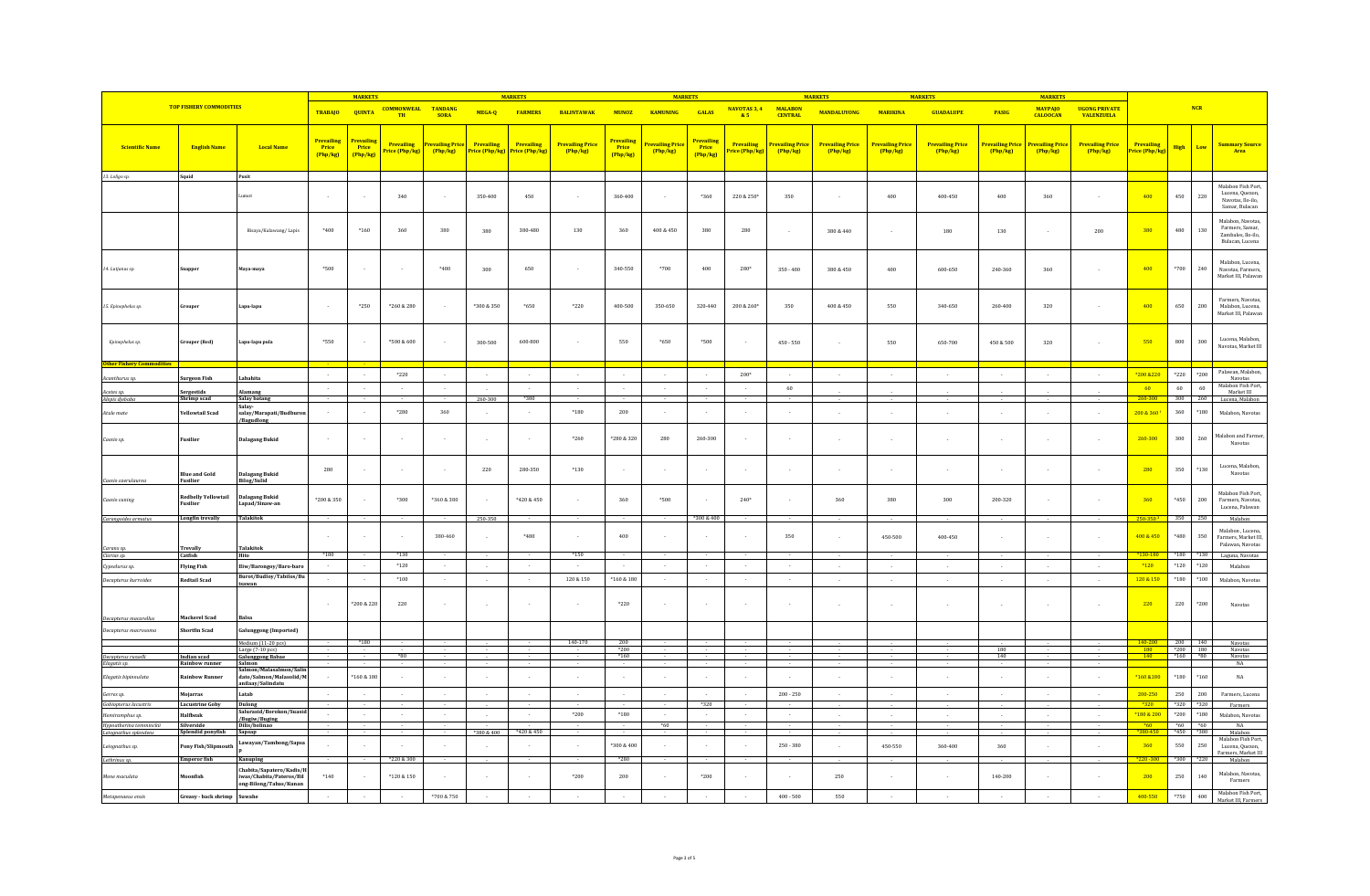|                                          |                                                |                                                                              |                                        | <b>MARKET</b>                  |                                 |                                     |            | <b>MARKET</b>                               |                                   |                                        | <b>MARKET</b>               |                                        |                              |                                  |                                   |                                   | <b>MARKETS</b>                    |                              | <b>MARKET</b>                       |                                           |                              |                                                         |                |                                                                              |
|------------------------------------------|------------------------------------------------|------------------------------------------------------------------------------|----------------------------------------|--------------------------------|---------------------------------|-------------------------------------|------------|---------------------------------------------|-----------------------------------|----------------------------------------|-----------------------------|----------------------------------------|------------------------------|----------------------------------|-----------------------------------|-----------------------------------|-----------------------------------|------------------------------|-------------------------------------|-------------------------------------------|------------------------------|---------------------------------------------------------|----------------|------------------------------------------------------------------------------|
|                                          | <b>TOP FISHERY COMMODITIES</b>                 |                                                                              | <b>TRABAJO</b>                         | <b>QUINTA</b>                  | <b>COMMONWEAL TANDANG</b><br>TH | <b>SORA</b>                         | MEGA-Q     | <b>FARMERS</b>                              | <b>BALINTAWAK</b>                 | <b>MUNOZ</b>                           | KAMUNING                    | GALAS                                  | NAVOTAS 3, 4<br>85           | <b>MALARON</b><br><b>CENTRAL</b> | <b>MANDALUYONG</b>                | <b>MARIKINA</b>                   | <b>GUADALUPE</b>                  | PASIG                        | <b>MAYPAIO</b><br><b>CALOOCAN</b>   | <b>UGONG PRIVATE</b><br><b>VALENZUELA</b> |                              |                                                         | NCR            |                                                                              |
| <b>Scientific Name</b>                   | <b>English Name</b>                            | <b>Local Name</b>                                                            | <b>Prevailing</b><br>Price<br>(Php/kg) | Prevailin<br>Price<br>(Php/kg) | Prevailing<br>Price (Php/kg)    | <b>Prevailing Price</b><br>(Php/kg) | Prevailing | Prevailing<br>Price (Php/kg) Price (Php/kg) | <b>Prevailing Price</b><br>Php/kg | <b>Prevailing</b><br>Price<br>(Php/kg) | Prevailing Pric<br>(Php/kg) | <b>Prevailing</b><br>Price<br>(Php/kg) | Prevailing<br>Price (Php/kg) | <b>Prevailing Pric</b><br>Php/kg | <b>Prevailing Price</b><br>Php/kg | <b>Prevailing Price</b><br>Php/kg | <b>Prevailing Price</b><br>Php/kg | Prevailing Price<br>(Php/kg) | <b>Prevailing Price</b><br>(Php/kg) | <b>Prevailing Price</b><br>Php/kg         | Prevailing<br>Price (Php/kg) | High                                                    | Low            | <b>Summary Source</b><br>Area                                                |
| 13. Loligo sp.                           | Squid                                          | Pusit                                                                        |                                        |                                |                                 |                                     |            |                                             |                                   |                                        |                             |                                        |                              |                                  |                                   |                                   |                                   |                              |                                     |                                           |                              |                                                         |                |                                                                              |
|                                          |                                                |                                                                              | $\overline{\phantom{a}}$               |                                | 340                             | $\sim$                              | 350-400    | 450                                         |                                   | 360-400                                |                             | *360                                   | 220 & 250*                   | 350                              |                                   | 400                               | 400-450                           | 400                          | 360                                 | $\sim$                                    | 400                          | 450                                                     | 220            | Malabon Fish Port,<br>Lucena, Quezon,<br>Navotas, Ilo-ilo,<br>Samar, Bulacan |
|                                          |                                                | Bisaya/Kalawang/Lapis                                                        | $*400$                                 | $*160$                         | 360                             | 380                                 | 380        | 380-480                                     | 130                               | 360                                    | 400 & 450                   | 380                                    | 280                          | ×                                | $380\ \&\ 440$                    |                                   | $180\,$                           | $130\,$                      |                                     | $200\,$                                   | 380                          | 480                                                     | 130            | Malabon, Navotas<br>Farmers, Samar,<br>Zambales, Ilo-ilo.<br>Bulacan, Lucena |
| 14. Lutjanus sp.                         | nappe                                          | laya-maya                                                                    | *500                                   |                                |                                 | $*480$                              | 300        | 650                                         |                                   | 340-550                                | $*700$                      | 400                                    | $280^{\circ}$                | $350 - 400$                      | 380 & 450                         | 400                               | 600-650                           | 240-360                      | 360                                 | $\sim$                                    | 400                          | $*700$                                                  | $240\,$        | Malabon, Lucena,<br>Navotas, Farmers,<br>Market III, Palawan                 |
| 15. Epinephelus sp.                      | Grouper                                        | .apu-lapu                                                                    | $\sim$                                 | $*250$                         | *260 & 280                      | $\sim$                              | *300 & 350 | $*650$                                      | $*220$                            | 400-500                                | 350-650                     | 320-440                                | 200 & 260*                   | 350                              | 400 & 450                         | 550                               | 340-650                           | 260-400                      | 320                                 | $\sim$                                    | 400                          | 650                                                     | 200            | Farmers, Navotas,<br>Malabon, Lucena,<br>Market III, Palawan                 |
| Epinephelus sp.                          | <b>Grouper</b> (Red)                           | apu-lapu pula                                                                | *550                                   |                                | *500 & 600                      | $\sim$                              | 300-500    | 600-800                                     |                                   | 550                                    | $*650$                      | $*500$                                 |                              | $450 - 550$                      |                                   | 550                               | 650-700                           | 450 & 500                    | 320                                 |                                           | 550                          | 800                                                     | 300            | Lucena, Malabon<br>Navotas, Market III                                       |
| <b>Other Fishery</b>                     |                                                |                                                                              |                                        |                                |                                 |                                     |            |                                             |                                   |                                        |                             |                                        |                              |                                  |                                   |                                   |                                   |                              |                                     |                                           |                              |                                                         |                |                                                                              |
| Acanthurus s                             | <b>Surgeon Fish</b>                            | ahahita                                                                      | $\sim$                                 |                                | $*220$                          | $\sim$                              |            |                                             |                                   |                                        | $\sim$                      |                                        | $200*$                       | $\overline{\phantom{a}}$         |                                   | $\sim$                            |                                   |                              | $\sim$                              |                                           | *200 &220                    | $*220$                                                  | $*200$         | Palawan, Malabon,<br>Navotas                                                 |
| Acetes sp                                | Sergestids                                     | lamang                                                                       |                                        |                                |                                 |                                     |            |                                             |                                   |                                        |                             |                                        |                              | 60                               |                                   |                                   |                                   |                              |                                     |                                           | 60                           | 60                                                      | 60             | Malabon Fish Port,<br>Market III                                             |
| Alepis djebaba                           | Shrimp scad                                    | Salay batang                                                                 |                                        |                                |                                 |                                     | 260-300    | *380                                        |                                   |                                        |                             |                                        |                              |                                  |                                   |                                   |                                   |                              |                                     |                                           | 260-300                      | 300                                                     | 260            | Lucena, Malabon                                                              |
| Atule mate                               | <b>Yellowtail Scad</b>                         | Salay<br>salay/Marapati/Budburo<br><b>Bagudlong</b>                          |                                        |                                | $^{\ast}280$                    | 360                                 |            |                                             | $^{\ast}180$                      | $200\,$                                |                             |                                        |                              |                                  |                                   |                                   |                                   |                              |                                     |                                           | 200 & 360                    | $360\,$                                                 | *180           | Malabon, Navotas                                                             |
| Caesio sp.                               | <b>Fusilier</b>                                | <b>Dalagang Bukid</b>                                                        |                                        |                                |                                 |                                     |            |                                             | $*260$                            | *280 & 320                             | 280                         | 260-300                                |                              |                                  |                                   |                                   |                                   |                              |                                     | $\sim$                                    | 260-300                      | 300                                                     | 260            | falabon and Farmer<br>Navotas                                                |
| Caesio caerulau                          | <b>Blue and Gold</b><br><b>Fusilier</b>        | Dalagang Bukid<br><b>Bilog/Sulid</b>                                         | 280                                    |                                |                                 |                                     | 220        | 280-350                                     | $^{\ast}130$                      |                                        |                             |                                        |                              |                                  |                                   |                                   |                                   |                              |                                     |                                           | 280                          | 350                                                     | *130           | Lucena, Malabon,<br>Navotas                                                  |
| Caesio cuning                            | <b>Redbelly Yellowtail</b><br>Fusilier         | Dalagang Bukid<br>Lapad/Sinaw-an                                             | *200 & 350                             |                                | *300                            | *360 & 380                          |            | *420 & 450                                  |                                   | 360                                    | *500                        |                                        | $240*$                       | $\sim$                           | 360                               | 380                               | 300                               | 200-320                      |                                     |                                           | 360                          | $*450$                                                  | $200\,$        | Malabon Fish Port,<br>Farmers, Navotas,<br>Lucena, Palawan                   |
| Carangoides armatus                      | Longfin trevally                               | <b>Talakitok</b>                                                             |                                        |                                |                                 |                                     | 250-350    |                                             |                                   |                                        |                             | *300 & 400                             |                              |                                  |                                   |                                   |                                   |                              |                                     |                                           | 250-350                      | 350                                                     | 250            | Malabor                                                                      |
|                                          | Trevally                                       | <b>Talakitok</b>                                                             | $\sim$                                 |                                | $\sim$                          | 380-460                             |            | $*480$                                      |                                   | 400                                    |                             |                                        |                              | 350                              |                                   | 450-500                           | 400-450                           |                              |                                     | $\sim$                                    | 400 & 450                    | $*480$                                                  | 350            | Malabon, Lucena<br><b>Farmers Market III</b><br>Palawan, Navotas             |
| Caranx sp.<br>Clarias sp.                | Catfish                                        | Hito                                                                         | $*180$                                 |                                | *130                            |                                     |            |                                             | $*150$                            |                                        |                             |                                        |                              |                                  |                                   |                                   |                                   |                              |                                     |                                           | $*130 - 18$                  | $*180$ $*130$                                           |                | Laguna, Navotas                                                              |
| Cypselurus sp.                           | <b>Flying Fish</b>                             | Iliw/Barongoy/Baro-baro                                                      |                                        |                                | $*120$                          | $\sim$                              |            |                                             | $\overline{\phantom{a}}$          |                                        |                             |                                        |                              | $\overline{\phantom{a}}$         |                                   |                                   |                                   |                              |                                     |                                           | $*120$                       | $*120$                                                  | $*120$         | Malabon                                                                      |
| Decapterus kurroides                     | <b>Redtail Scad</b>                            | Burot/Budloy/Tabilos/Bu<br>sawan:                                            | $\sim$                                 |                                | $*100$                          | $\sim$                              |            |                                             | 120 & 150                         | $*160$ & 180                           | $\sim$                      | $\sim$                                 |                              | $\sim$                           |                                   | $\sim$                            | $\sim$                            | $\sim$                       |                                     | $\sim$                                    | 120 & 150                    | $*180$                                                  | $*100$         | Malabon, Navotas                                                             |
|                                          |                                                |                                                                              | $\sim$                                 | *200 & 220                     | 220                             | $\sim$                              |            |                                             |                                   | $*220$                                 |                             |                                        |                              | $\sim$                           |                                   |                                   |                                   |                              |                                     | $\sim$                                    | 220                          | 220                                                     | $*200$         | Navotas                                                                      |
| Decapterus macarellus                    | <b>Mackerel Scad</b>                           | Balsa                                                                        |                                        |                                |                                 |                                     |            |                                             |                                   |                                        |                             |                                        |                              |                                  |                                   |                                   |                                   |                              |                                     |                                           |                              |                                                         |                |                                                                              |
| Decapterus macrosoma                     | <b>Shortfin Scad</b>                           | alunggong (Imported)                                                         |                                        |                                |                                 |                                     |            |                                             |                                   |                                        |                             |                                        |                              |                                  |                                   |                                   |                                   |                              |                                     |                                           |                              |                                                         |                |                                                                              |
|                                          |                                                | Medium (11-20 pcs)<br>Large (7-10 pcs)                                       |                                        | $*180$                         |                                 |                                     |            |                                             | 140-170                           | 200                                    |                             |                                        |                              |                                  |                                   |                                   |                                   | 180                          |                                     |                                           | 140-200<br>180               | 200 140                                                 |                | Navotas<br>Navotas                                                           |
| Decapterus russelli                      | Indian scad                                    | <b>Galunggong Babae</b>                                                      |                                        |                                | $*80$                           |                                     |            |                                             |                                   | $*200$<br>$*160$                       |                             |                                        |                              |                                  |                                   |                                   |                                   | 140                          |                                     |                                           | 140                          | $\begin{array}{r} *200 & 180 \\ *160 & *80 \end{array}$ |                | Navotas                                                                      |
| Elagatis sp.<br>Elagatis bipinnulata     | <b>Rainbow runner</b><br><b>Rainbow Runner</b> | Salmon<br>non/Malasalmon/Salin<br>dato/Salmon/Malasolid/M                    |                                        | *160 & 180                     |                                 |                                     |            |                                             |                                   |                                        |                             |                                        |                              |                                  |                                   |                                   |                                   |                              |                                     |                                           | *160 &180                    | $^{\ast}180$                                            | $*160$         | NA<br>$_{\rm NA}$                                                            |
|                                          |                                                | anilaay/Salindatu                                                            |                                        |                                |                                 |                                     |            |                                             |                                   |                                        |                             |                                        |                              |                                  |                                   |                                   |                                   |                              |                                     |                                           |                              |                                                         |                |                                                                              |
| Gerres sp.                               | <b>Mojarras</b>                                | Latab                                                                        |                                        |                                |                                 | $\sim$                              |            |                                             |                                   |                                        |                             |                                        |                              | $200 - 250$                      |                                   |                                   |                                   |                              |                                     | $\sim$                                    | 200-250                      | 250                                                     | 200            | Farmers, Lucena                                                              |
| Gobiopterus lacustris<br>Hemiramphus sp. | <b>Lacustrine Goby</b><br>Halfbeak             | Dulong<br>Salurasid/Borokon/Suasid                                           |                                        |                                |                                 | $\mathcal{L}$                       |            |                                             | $*200$                            | $*180$                                 |                             | *320<br>$\sim$                         |                              |                                  |                                   |                                   |                                   |                              |                                     |                                           | *180 & 200                   | $*320$<br>$*200$                                        | *320<br>$*180$ | Farmers<br>Malabon, Navotas                                                  |
| Hypoatherina temminckii                  | Silverside                                     | /Bugiw/Buging<br>Dilis/bolinao                                               |                                        |                                |                                 |                                     |            |                                             |                                   |                                        | $*60$                       |                                        |                              |                                  |                                   |                                   |                                   |                              |                                     |                                           | *60                          | $*60$ $*60$                                             |                | NA                                                                           |
| Leiognathus splenden:                    | Splendid ponyfish                              | Sapsap                                                                       |                                        |                                |                                 |                                     | *380 & 400 | *420 & 450                                  |                                   |                                        |                             |                                        |                              |                                  |                                   |                                   |                                   |                              |                                     |                                           |                              | *450                                                    | *380           | Malabon<br>Malabon Fish Port,                                                |
| Leiognathus sp.                          | <b>Pony Fish/Slipmouth</b>                     | awayan/Tambong/Sapsa                                                         |                                        |                                |                                 |                                     |            |                                             |                                   | *300 & 400                             |                             |                                        |                              | $250\cdot380$                    |                                   | 450-550                           | 360-400                           | 360                          |                                     |                                           | 360                          | 550                                                     | 250            | Lucena, Quezon,<br>Farmers, Market III                                       |
| Lethrinus sp.                            | <b>Emperor fish</b>                            | K <sub>2</sub><br>nuping                                                     |                                        |                                | *220 & 300                      |                                     |            |                                             |                                   | $*280$                                 |                             |                                        |                              |                                  |                                   |                                   |                                   |                              |                                     |                                           | $*220 - 300$                 | $*300$                                                  | $+220$         | Malabor                                                                      |
| Mene maculata                            | onfish                                         | habita/Sapatero/Kadis/H<br>was/Chabita/Pateros/Bil<br>ong-Bilong/Tabas/Kunan | $*140$                                 |                                | *120 & 150                      |                                     |            |                                             | $*200$                            | 200                                    |                             | $*200$                                 |                              |                                  | 250                               |                                   |                                   | 140-200                      |                                     |                                           | 200                          | 250                                                     | 140            | Malabon, Navotas,<br>Farmers                                                 |
| Metapenaeus ensis                        | Greasy - back shrimp Suwahe                    |                                                                              | $\sim$                                 |                                | $\cdot$                         | $*700 & 750$                        |            |                                             |                                   |                                        | $\cdot$                     |                                        |                              | $400 - 500$                      | 550                               |                                   |                                   |                              |                                     |                                           | 400-550                      | $*750$                                                  | $400\,$        | Malabon Fish Port,<br>arket III. Farn                                        |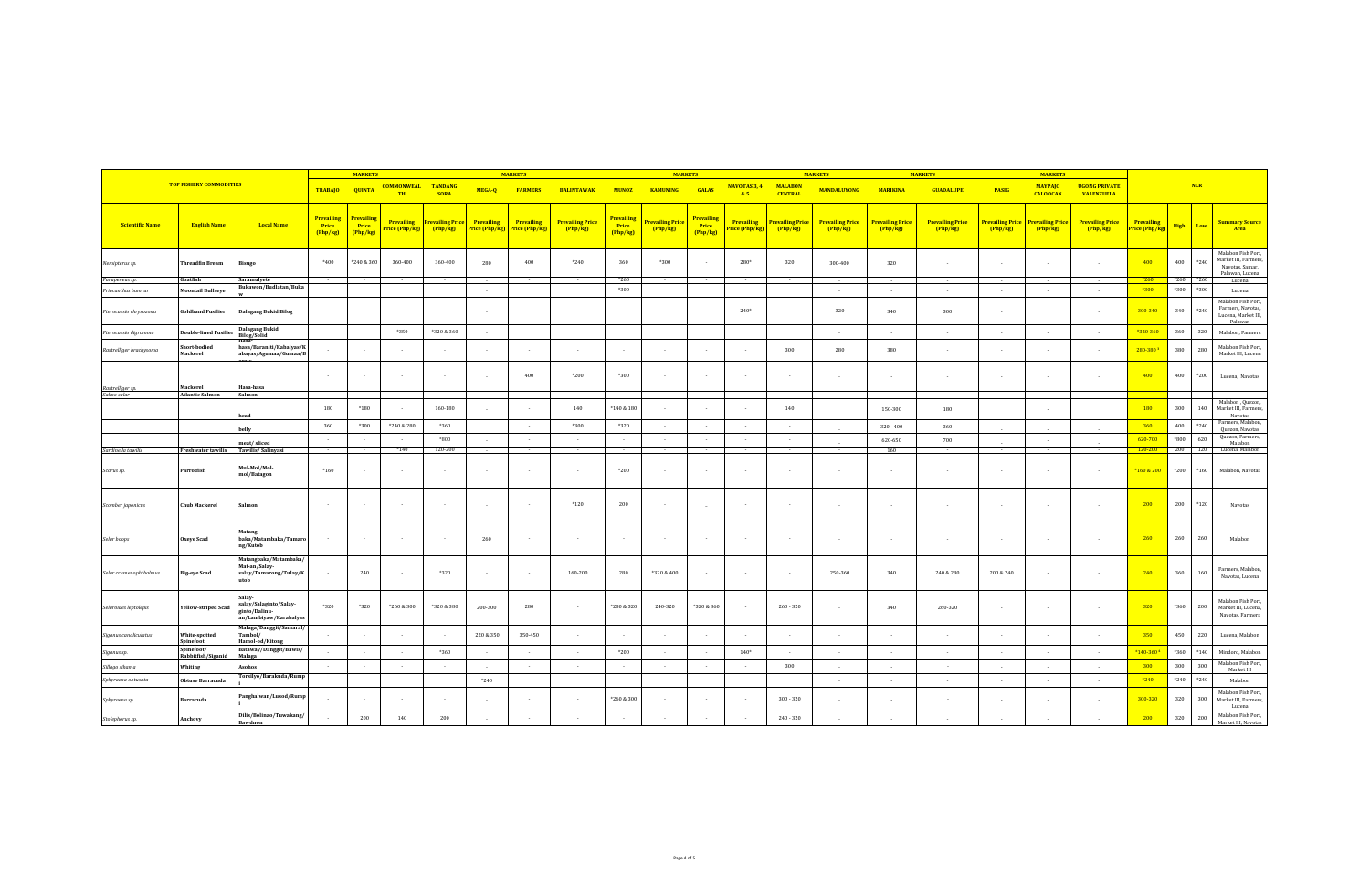| <b>TOP FISHERY COMMODITIES</b>                                           |                                  | <b>MARKETS</b>                                                    |                                        |                               | <b>MARKETS</b>                      |                                     |                                            | <b>MARKETS</b>               |                                     |                                       |                                     | <b>MARKETS</b>                | <b>MARKETS</b>                            | <b>MARKETS</b>                      |                                     |                                   |                                   |                                   |                                           |                                     |                              |                  |                |                                                                                  |
|--------------------------------------------------------------------------|----------------------------------|-------------------------------------------------------------------|----------------------------------------|-------------------------------|-------------------------------------|-------------------------------------|--------------------------------------------|------------------------------|-------------------------------------|---------------------------------------|-------------------------------------|-------------------------------|-------------------------------------------|-------------------------------------|-------------------------------------|-----------------------------------|-----------------------------------|-----------------------------------|-------------------------------------------|-------------------------------------|------------------------------|------------------|----------------|----------------------------------------------------------------------------------|
|                                                                          |                                  | TRABAJO QUINTA                                                    |                                        | <b>COMMONWEAL</b><br>TH       | <b>TANDANG</b><br><b>SORA</b>       | MEGA-Q                              | <b>FARMERS</b>                             | <b>BALINTAWAK</b>            | <b>MUNOZ</b>                        | <b>KAMUNING</b>                       | <b>GALAS</b>                        | NAVOTAS 3, 4<br>85            | <b>MALABON</b><br><b>CENTRAL</b>          | <b>MANDALUYONG</b>                  | <b>MARIKINA</b>                     | <b>GUADALUPE</b>                  | <b>PASIG</b>                      | <b>MAYPAJO</b><br><b>CALOOCAN</b> | <b>UGONG PRIVATE</b><br><b>VALENZUELA</b> |                                     |                              | NCR              |                |                                                                                  |
| <b>Scientific Name</b>                                                   | <b>English Name</b>              | <b>Local Name</b>                                                 | <b>Prevailing</b><br>Price<br>(Php/kg) | Prevailing<br>Price<br>Php/kg | <b>Prevailing</b><br>Price (Php/kg) | <b>Prevailing Price</b><br>(Php/kg) | <b>Prevailing</b><br><b>Price (Php/kg)</b> | Prevailing<br>Price (Php/kg) | <b>Prevailing Price</b><br>(Php/kg) | <b>Prevailin</b><br>Price<br>(Php/kg) | <b>Prevailing Price</b><br>(Php/kg) | Prevailing<br>Price<br>Php/kg | Prevailing<br><mark>Price (Php/kg)</mark> | <b>Prevailing Price</b><br>(Php/kg) | <b>Prevailing Price</b><br>(Php/kg) | <b>Prevailing Price</b><br>Php/kg | <b>Prevailing Price</b><br>Php/kg | Prevailing Price<br>Php/kg        | Prevailing Price<br>Php/kg                | <b>Prevailing Price</b><br>(Php/kg) | Prevailing<br>Price (Php/kg) | High Low         |                | <b>Summary Source</b><br>Area                                                    |
| Nemipterus sp.                                                           | <b>Threadfin Bream</b>           | Bisugo                                                            | $*400$                                 | *240 & 360                    | 360-400                             | 360-400                             | 280                                        | 400                          | $*240$                              | 360                                   | $*300$                              |                               | 280*                                      | 320                                 | 300-400                             | 320                               |                                   |                                   |                                           |                                     | 400                          | 400              | $*240$         | Malabon Fish Port,<br>Market III, Farmers,<br>Navotas, Samar,<br>Palawan, Lucena |
| Parupeneus sp.                                                           | Goatfish                         | Saramulyete<br>Bukawon/Budlatan/Buka                              |                                        | $\sim$                        | $\sim$                              | $\sim$                              |                                            | - 11                         | $\overline{a}$                      | *260<br>*300                          | $\sim$                              |                               | $\sim$                                    | $\sim$                              |                                     |                                   |                                   |                                   |                                           |                                     | $*260$<br>$*300$             | $*260$<br>$*300$ | $*260$<br>*300 | Lucena                                                                           |
| <b>Priacanthus hamrun</b>                                                | <b>Moontail Bullseye</b>         |                                                                   |                                        |                               |                                     |                                     |                                            |                              |                                     |                                       |                                     |                               |                                           |                                     |                                     |                                   |                                   |                                   |                                           |                                     |                              |                  |                | Lucena<br>Malabon Fish Port,                                                     |
| Pterocaesio chrysozona                                                   | <b>Goldband Fusilier</b>         | <b>Dalagang Bukid Bilog</b>                                       | $\sim$                                 |                               | $\sim$                              | $\sim$ $\sim$                       |                                            |                              |                                     | $\sim$                                | $\sim$                              |                               | $240*$                                    | $\sim$                              | 320                                 | 340                               | 300                               |                                   |                                           | $\sim$                              | 300-340                      | 340              | $*240$         | Farmers, Navotas,<br>Lucena, Market III,<br>Palawan                              |
| Pterocaesio digramma                                                     | <b>Double-lined Fusilier</b>     | <b>Dalagang Bukid</b><br><b>Bilog/Solid</b>                       | $\sim$                                 | $\sim$                        | *350                                | *320 & 360                          |                                            | $\sim$                       | $\sim$                              | $\sim$                                | $\sim$                              | $\sim$                        | $\sim$                                    | $\sim$                              | $\sim$                              | $\sim$                            | $\sim$                            | $\sim$                            | $\sim$                                    | $\sim$                              | *320-360                     | 360              | 320            | Malabon, Farmers                                                                 |
| Rastrelliger brachysoma                                                  | Short-bodied<br>Mackerel         | 1asa/Baraniti/Kabalyas/K<br>abayas/Agumaa/Gumaa/B                 |                                        |                               | $\sim$                              |                                     | - 2                                        |                              | $\sim$                              | $\sim$                                | $\sim$                              |                               | $\sim$                                    | 300                                 | 280                                 | 380                               | in 1919.                          |                                   |                                           | $\sim$                              | 280-380                      | 380              | 280            | Malabon Fish Port,<br>Market III, Lucena                                         |
| Rastrelliger sp.                                                         | Mackerel                         | Hasa-hasa                                                         | $\sim$                                 |                               | $\sim$                              | $\sim$ $\sim$                       | - 2                                        | 400                          | $*200$                              | *300                                  |                                     |                               | $\sim$                                    | $\sim$                              |                                     |                                   |                                   |                                   |                                           | $\sim$                              | 400                          | 400              | $*200$         | Lucena, Navotas                                                                  |
| Salmo salar                                                              | <b>Atlantic Salmon</b>           | Salmon                                                            | 180                                    | $*180$                        |                                     | 160-180                             |                                            |                              | $\sim$<br>140                       | $\sim$<br>$*140 & 180$                |                                     |                               |                                           | 140                                 |                                     | 150-300                           | 180                               |                                   |                                           |                                     | 180                          | 300              | 140            | Malabon, Quezon,<br>Market III, Farmers,                                         |
|                                                                          |                                  | head                                                              | 360                                    | $*300$                        | *240 & 280                          | *360                                | $\sim$                                     |                              | *300                                | *320                                  | $\sim$                              |                               |                                           | $\sim$                              |                                     | $320 - 400$                       | 360                               |                                   |                                           |                                     | 360                          | 400              | $*240$         | Navotas<br>Farmers, Malabon,                                                     |
|                                                                          |                                  |                                                                   | - 4                                    | $\sim$                        | $\sim$                              | *800                                |                                            | $\sim$                       | $\sim$                              | $\sim$                                | $\sim$ $\sim$                       | $\sim$                        | $\sim$                                    | $\sim$                              |                                     | 620-650                           | 700                               |                                   |                                           |                                     | 620-700                      | $*800$           | 620            | Quezon, Navotas<br>Quezon, Farmers,                                              |
| Sardinella tawilis                                                       | Freshwater tawilis               | meat/sliced<br>Tawilis/Salinyas                                   |                                        |                               | $*140$                              | 120-200                             |                                            |                              |                                     |                                       |                                     |                               |                                           |                                     |                                     | 160                               |                                   |                                   |                                           |                                     | 120-200                      | 200              | 120            | Malabon<br>Lucena, Malabon                                                       |
| Scarus sp.                                                               | Parrotfish                       | Mul-Mol/Mol-<br>mol/Batagon                                       | $*160$                                 |                               | $\sim$                              |                                     |                                            |                              |                                     | *200                                  | $\epsilon$                          |                               |                                           | $\epsilon$                          |                                     |                                   | $\sim$                            |                                   |                                           | $\sim$                              | *160 & 200                   | $*200$           | $*160$         | Malabon, Navotas                                                                 |
| $\label{eq:1} \begin{aligned} &\textit{Scomber japonicus} \end{aligned}$ | <b>Chub Mackerel</b>             | Salmon                                                            | $\sim$                                 |                               | $\sim$                              | $\sim$                              | $\sim$                                     | $\sim$                       | $*120$                              | 200                                   | $\sim$                              |                               | $\sim$                                    | $\sim$                              |                                     |                                   |                                   |                                   |                                           | $\sim$                              | 200                          | 200              | $*120$         | Navotas                                                                          |
| Selar boops                                                              | <b>Oxeye Scad</b>                | Matang-<br>baka/Matambaka/Tamaro<br>ng/Kutob                      |                                        |                               | $\sim$                              |                                     | 260                                        |                              |                                     | $\sim$                                |                                     |                               | $\sim$                                    |                                     | $\sim$                              |                                   | $\sim$                            | $\overline{\phantom{a}}$          |                                           | $\sim$                              | 260                          | 260              | 260            | Malabon                                                                          |
| Selar crumenophthalmus                                                   | <b>Big-eye Scad</b>              | Matangbaka/Matambaka,<br>Mat-an/Salay-<br>salay/Tamarong/Tulay/K  |                                        | 240                           | $\sim$ $\sim$                       | *320                                |                                            | $\sim$                       | 160-200                             | 280                                   | *320 & 400                          |                               | $\sim$                                    | $\sim$                              | 250-360                             | 340                               | 240 & 280                         | 200 & 240                         |                                           | $\sim$                              | 240                          | 360              | 160            | Farmers, Malabon,<br>Navotas, Lucena                                             |
| Selaroides leptolepis                                                    | <b>Yellow-striped Scad</b>       | salay/Salaginto/Salay-<br>ginto/Dalinu-<br>an/Lambiyaw/Karabalyas | *320                                   | $*320$                        | *260 & 300                          | *320 & 380                          | 200-300                                    | 280                          |                                     | *280 & 320                            | 240-320                             | *320 & 360                    | $\sim$                                    | $260 - 320$                         |                                     | 340                               | 260-320                           |                                   |                                           |                                     | 320                          | *360             | 200            | Malabon Fish Port,<br>Market III, Lucena,<br>Navotas, Farmers                    |
| Siganus canaliculatus                                                    | White-spotted<br>Spinefoot       | Malaga/Danggit/Samaral/<br>Tambol/<br>Hamol-od/Kitons             |                                        |                               | $\sim$                              |                                     | 220 & 350                                  | 350-450                      | $\sim$                              |                                       | $\sim$                              |                               | $\sim$                                    | $\sim$                              |                                     |                                   |                                   |                                   |                                           |                                     | 350                          | 450              | 220            | Lucena, Malabon                                                                  |
| iganus sp.                                                               | Sninefoot/<br>Rabbitfish/Siganid | Bataway/Danggit/Bawis/<br>Malaga                                  |                                        |                               | $\sim$                              | *360                                |                                            |                              |                                     | *200                                  |                                     |                               | $140*$                                    |                                     |                                     |                                   | $\sim$                            | $\sim$                            |                                           |                                     | *140-360 *                   | *360             | $*140$         | Mindoro, Malabon                                                                 |
| Sillago sihama                                                           | Whiting                          | Asohos                                                            |                                        |                               | $\sim$                              | $\sim$                              |                                            |                              |                                     |                                       | $\sim$                              |                               | $\sim$                                    | 300                                 |                                     |                                   | $\sim$                            | $\sim$                            |                                           |                                     | 300                          | 300              | 300            | Malabon Fish Port,<br>Market III                                                 |
| Sphyraena obtusata                                                       | <b>Obtuse Barracuda</b>          | Torsilyo/Barakuda/Rump                                            | - 2                                    |                               | $\sim$                              | $\sim$                              | $*240$                                     |                              |                                     | $\sim$                                | $\sim$ $\sim$                       | - 2                           | $\sim$                                    | $\sim$                              |                                     |                                   |                                   |                                   |                                           |                                     | $*240$                       | $*240$           | $*240$         | Malabon                                                                          |
| Sphyraena sp.                                                            | Barracuda                        | Panghalwan/Lusod/Rump                                             |                                        |                               | $\sim$                              |                                     |                                            |                              |                                     | *260 & 300                            |                                     |                               | $\sim$                                    | $300 - 320$                         |                                     |                                   |                                   |                                   |                                           |                                     | 300-320                      | 320              | 300            | Malabon Fish Port,<br>Market III, Farmers,<br>Lucena                             |
| Stolephorus sp.                                                          | Anchovy                          | Dilis/Bolinao/Tuwakang,<br>Rawdnor                                |                                        | 200                           | 140                                 | 200                                 |                                            |                              |                                     |                                       |                                     |                               |                                           | $240 - 320$                         |                                     |                                   |                                   |                                   |                                           |                                     | 200                          | 320              | 200            | Malabon Fish Port,<br>Market III, Navota                                         |